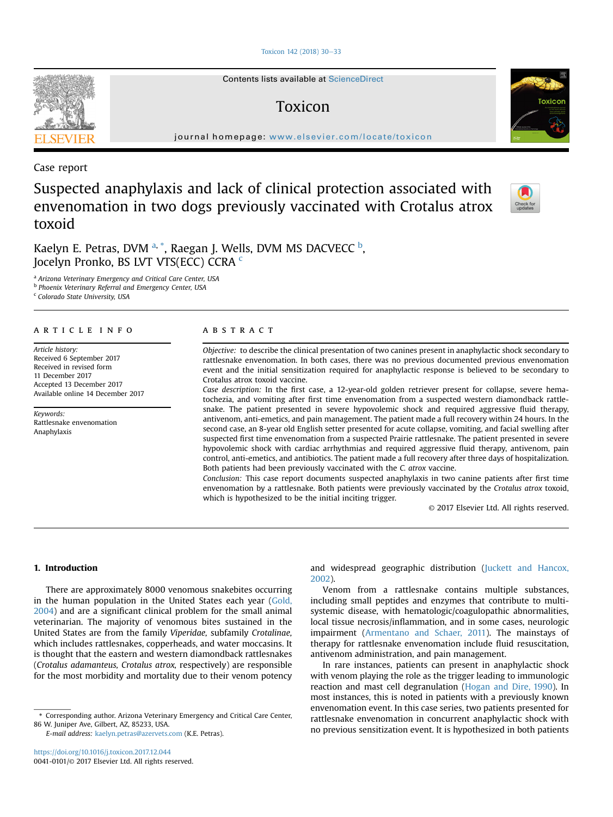#### [Toxicon 142 \(2018\) 30](https://doi.org/10.1016/j.toxicon.2017.12.044)-[33](https://doi.org/10.1016/j.toxicon.2017.12.044)

Contents lists available at ScienceDirect

# Toxicon

journal homepage: <www.elsevier.com/locate/toxicon>

Case report

Suspected anaphylaxis and lack of clinical protection associated with envenomation in two dogs previously vaccinated with Crotalus atrox toxoid

Kaelyn E. Petras, DVM <sup>a, \*</sup>, Raegan J. Wells, DVM MS DACVECC <sup>b</sup>, Jocelyn Pronko, BS LVT VTS(ECC) CCRA <sup>c</sup>

<sup>a</sup> Arizona Veterinary Emergency and Critical Care Center, USA

**b** Phoenix Veterinary Referral and Emergency Center, USA

<sup>c</sup> Colorado State University, USA

#### article info

Article history: Received 6 September 2017 Received in revised form 11 December 2017 Accepted 13 December 2017 Available online 14 December 2017

Keywords: Rattlesnake envenomation Anaphylaxis

#### **ABSTRACT**

Objective: to describe the clinical presentation of two canines present in anaphylactic shock secondary to rattlesnake envenomation. In both cases, there was no previous documented previous envenomation event and the initial sensitization required for anaphylactic response is believed to be secondary to Crotalus atrox toxoid vaccine.

Case description: In the first case, a 12-year-old golden retriever present for collapse, severe hematochezia, and vomiting after first time envenomation from a suspected western diamondback rattlesnake. The patient presented in severe hypovolemic shock and required aggressive fluid therapy, antivenom, anti-emetics, and pain management. The patient made a full recovery within 24 hours. In the second case, an 8-year old English setter presented for acute collapse, vomiting, and facial swelling after suspected first time envenomation from a suspected Prairie rattlesnake. The patient presented in severe hypovolemic shock with cardiac arrhythmias and required aggressive fluid therapy, antivenom, pain control, anti-emetics, and antibiotics. The patient made a full recovery after three days of hospitalization. Both patients had been previously vaccinated with the C. atrox vaccine.

Conclusion: This case report documents suspected anaphylaxis in two canine patients after first time envenomation by a rattlesnake. Both patients were previously vaccinated by the Crotalus atrox toxoid, which is hypothesized to be the initial inciting trigger.

© 2017 Elsevier Ltd. All rights reserved.

## 1. Introduction

There are approximately 8000 venomous snakebites occurring in the human population in the United States each year [\(Gold,](#page-3-0) [2004](#page-3-0)) and are a significant clinical problem for the small animal veterinarian. The majority of venomous bites sustained in the United States are from the family Viperidae, subfamily Crotalinae, which includes rattlesnakes, copperheads, and water moccasins. It is thought that the eastern and western diamondback rattlesnakes (Crotalus adamanteus, Crotalus atrox, respectively) are responsible for the most morbidity and mortality due to their venom potency

\* Corresponding author. Arizona Veterinary Emergency and Critical Care Center, 86 W. Juniper Ave, Gilbert, AZ, 85233, USA.

E-mail address: [kaelyn.petras@azervets.com](mailto:kaelyn.petras@azervets.com) (K.E. Petras).

and widespread geographic distribution [\(Juckett and Hancox,](#page-3-0) [2002](#page-3-0)).

Venom from a rattlesnake contains multiple substances, including small peptides and enzymes that contribute to multisystemic disease, with hematologic/coagulopathic abnormalities, local tissue necrosis/inflammation, and in some cases, neurologic impairment [\(Armentano and Schaer, 2011](#page-3-0)). The mainstays of therapy for rattlesnake envenomation include fluid resuscitation, antivenom administration, and pain management.

In rare instances, patients can present in anaphylactic shock with venom playing the role as the trigger leading to immunologic reaction and mast cell degranulation ([Hogan and Dire, 1990\)](#page-3-0). In most instances, this is noted in patients with a previously known envenomation event. In this case series, two patients presented for rattlesnake envenomation in concurrent anaphylactic shock with no previous sensitization event. It is hypothesized in both patients





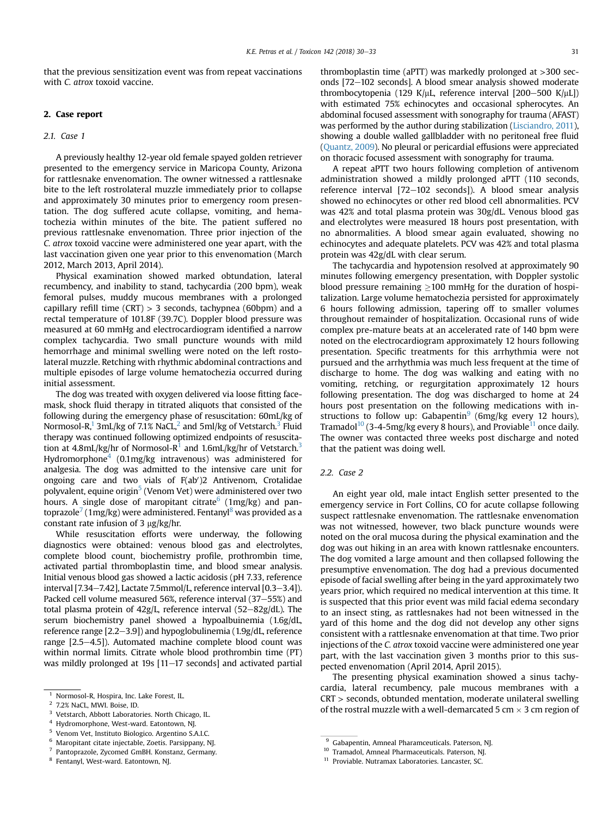<span id="page-1-0"></span>that the previous sensitization event was from repeat vaccinations with C. atrox toxoid vaccine.

## 2. Case report

#### 2.1. Case 1

A previously healthy 12-year old female spayed golden retriever presented to the emergency service in Maricopa County, Arizona for rattlesnake envenomation. The owner witnessed a rattlesnake bite to the left rostrolateral muzzle immediately prior to collapse and approximately 30 minutes prior to emergency room presentation. The dog suffered acute collapse, vomiting, and hematochezia within minutes of the bite. The patient suffered no previous rattlesnake envenomation. Three prior injection of the C. atrox toxoid vaccine were administered one year apart, with the last vaccination given one year prior to this envenomation (March 2012, March 2013, April 2014).

Physical examination showed marked obtundation, lateral recumbency, and inability to stand, tachycardia (200 bpm), weak femoral pulses, muddy mucous membranes with a prolonged capillary refill time  $(CRT) > 3$  seconds, tachypnea (60bpm) and a rectal temperature of 101.8F (39.7C). Doppler blood pressure was measured at 60 mmHg and electrocardiogram identified a narrow complex tachycardia. Two small puncture wounds with mild hemorrhage and minimal swelling were noted on the left rostolateral muzzle. Retching with rhythmic abdominal contractions and multiple episodes of large volume hematochezia occurred during initial assessment.

The dog was treated with oxygen delivered via loose fitting facemask, shock fluid therapy in titrated aliquots that consisted of the following during the emergency phase of resuscitation: 60mL/kg of Normosol-R, $1$  3mL/kg of 7.1% NaCL, $2$  and 5ml/kg of Vetstarch.<sup>3</sup> Fluid therapy was continued following optimized endpoints of resuscitation at 4.8mL/kg/hr of Normosol-R<sup>1</sup> and 1.6mL/kg/hr of Vetstarch.<sup>3</sup> Hydromorphone<sup>4</sup> (0.1mg/kg intravenous) was administered for analgesia. The dog was admitted to the intensive care unit for ongoing care and two vials of F(ab')2 Antivenom, Crotalidae polyvalent, equine origin<sup>5</sup> (Venom Vet) were administered over two hours. A single dose of maropitant citrate<sup>6</sup> (1mg/kg) and pantoprazole<sup>/</sup> (1mg/kg) were administered. Fentanyl<sup>8</sup> was provided as a constant rate infusion of  $3 \mu g/kg/hr$ .

While resuscitation efforts were underway, the following diagnostics were obtained: venous blood gas and electrolytes, complete blood count, biochemistry profile, prothrombin time, activated partial thromboplastin time, and blood smear analysis. Initial venous blood gas showed a lactic acidosis (pH 7.33, reference interval  $[7.34-7.42]$ , Lactate 7.5mmol/L, reference interval  $[0.3-3.4]$ ). Packed cell volume measured 56%, reference interval (37–55%) and total plasma protein of  $42g/L$ , reference interval (52-82g/dL). The serum biochemistry panel showed a hypoalbuinemia (1.6g/dL, reference range  $[2.2-3.9]$ ) and hypoglobulinemia (1.9g/dL, reference range [2.5-4.5]). Automated machine complete blood count was within normal limits. Citrate whole blood prothrombin time (PT) was mildly prolonged at  $19s$  [11–17 seconds] and activated partial thromboplastin time (aPTT) was markedly prolonged at >300 seconds [72-102 seconds]. A blood smear analysis showed moderate thrombocytopenia (129 K/ $\mu$ L, reference interval [200-500 K/ $\mu$ L]) with estimated 75% echinocytes and occasional spherocytes. An abdominal focused assessment with sonography for trauma (AFAST) was performed by the author during stabilization ([Lisciandro, 2011\)](#page-3-0), showing a double walled gallbladder with no peritoneal free fluid [\(Quantz, 2009\)](#page-3-0). No pleural or pericardial effusions were appreciated on thoracic focused assessment with sonography for trauma.

A repeat aPTT two hours following completion of antivenom administration showed a mildly prolonged aPTT (110 seconds, reference interval  $[72-102$  seconds]). A blood smear analysis showed no echinocytes or other red blood cell abnormalities. PCV was 42% and total plasma protein was 30g/dL. Venous blood gas and electrolytes were measured 18 hours post presentation, with no abnormalities. A blood smear again evaluated, showing no echinocytes and adequate platelets. PCV was 42% and total plasma protein was 42g/dL with clear serum.

The tachycardia and hypotension resolved at approximately 90 minutes following emergency presentation, with Doppler systolic blood pressure remaining  $\geq$ 100 mmHg for the duration of hospitalization. Large volume hematochezia persisted for approximately 6 hours following admission, tapering off to smaller volumes throughout remainder of hospitalization. Occasional runs of wide complex pre-mature beats at an accelerated rate of 140 bpm were noted on the electrocardiogram approximately 12 hours following presentation. Specific treatments for this arrhythmia were not pursued and the arrhythmia was much less frequent at the time of discharge to home. The dog was walking and eating with no vomiting, retching, or regurgitation approximately 12 hours following presentation. The dog was discharged to home at 24 hours post presentation on the following medications with instructions to follow up: Gabapentin<sup>9</sup> (6mg/kg every 12 hours), Tramadol<sup>10</sup> (3-4-5mg/kg every 8 hours), and Proviable<sup>11</sup> once daily. The owner was contacted three weeks post discharge and noted that the patient was doing well.

#### 2.2. Case 2

An eight year old, male intact English setter presented to the emergency service in Fort Collins, CO for acute collapse following suspect rattlesnake envenomation. The rattlesnake envenomation was not witnessed, however, two black puncture wounds were noted on the oral mucosa during the physical examination and the dog was out hiking in an area with known rattlesnake encounters. The dog vomited a large amount and then collapsed following the presumptive envenomation. The dog had a previous documented episode of facial swelling after being in the yard approximately two years prior, which required no medical intervention at this time. It is suspected that this prior event was mild facial edema secondary to an insect sting, as rattlesnakes had not been witnessed in the yard of this home and the dog did not develop any other signs consistent with a rattlesnake envenomation at that time. Two prior injections of the C. atrox toxoid vaccine were administered one year part, with the last vaccination given 3 months prior to this suspected envenomation (April 2014, April 2015).

The presenting physical examination showed a sinus tachycardia, lateral recumbency, pale mucous membranes with a CRT > seconds, obtunded mentation, moderate unilateral swelling of the rostral muzzle with a well-demarcated 5 cm  $\times$  3 cm region of

<sup>&</sup>lt;sup>1</sup> Normosol-R, Hospira, Inc. Lake Forest, IL.<br> $\frac{2}{5}$  72% NoCL, MML Boise, ID.

<sup>2</sup> 7.2% NaCL, MWI. Boise, ID.

Vetstarch, Abbott Laboratories. North Chicago, IL.

<sup>&</sup>lt;sup>4</sup> Hydromorphone, West-ward. Eatontown, NJ.<br><sup>5</sup> Manage Met Institute Biologies, Aggressive S.

<sup>5</sup> Venom Vet, Instituto Biologico. Argentino S.A.I.C.

Maropitant citate injectable, Zoetis. Parsippany, NJ.

<sup>&</sup>lt;sup>7</sup> Pantoprazole, Zycomed GmBH. Konstanz, Germany.<br><sup>8</sup> Fentanyl West-ward Eatoptown NI

Fentanyl, West-ward. Eatontown, NJ.

<sup>9</sup> Gabapentin, Amneal Pharamceuticals. Paterson, NJ.

<sup>10</sup> Tramadol, Amneal Pharmaceuticals. Paterson, NJ.

<sup>11</sup> Proviable. Nutramax Laboratories. Lancaster, SC.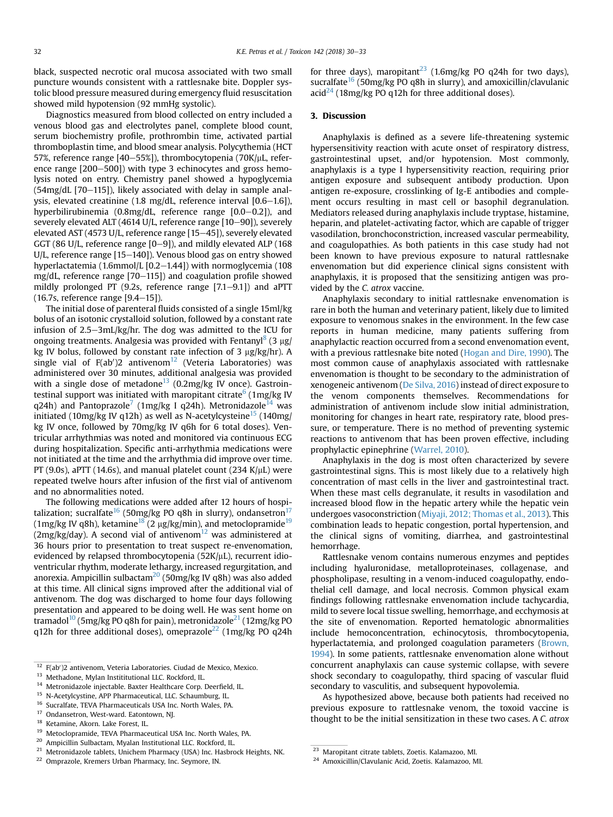black, suspected necrotic oral mucosa associated with two small puncture wounds consistent with a rattlesnake bite. Doppler systolic blood pressure measured during emergency fluid resuscitation showed mild hypotension (92 mmHg systolic).

Diagnostics measured from blood collected on entry included a venous blood gas and electrolytes panel, complete blood count, serum biochemistry profile, prothrombin time, activated partial thromboplastin time, and blood smear analysis. Polycythemia (HCT 57%, reference range  $[40-55\%]$ ), thrombocytopenia (70K/ $\mu$ L, reference range  $[200-500]$ ) with type 3 echinocytes and gross hemolysis noted on entry. Chemistry panel showed a hypoglycemia  $(54mg/dL [70-115])$ , likely associated with delay in sample analysis, elevated creatinine (1.8 mg/dL, reference interval  $[0.6-1.6]$ ), hyperbilirubinemia  $(0.8 \text{mg/dL}, \text{reference range } [0.0-0.2])$ , and severely elevated ALT (4614 U/L, reference range  $[10-90]$ ), severely elevated AST (4573 U/L, reference range [15-45]), severely elevated GGT (86 U/L, reference range  $[0-9]$ ), and mildly elevated ALP (168 U/L, reference range [15-140]). Venous blood gas on entry showed hyperlactatemia (1.6mmol/L  $[0.2-1.44]$ ) with normoglycemia (108 mg/dL, reference range  $[70-115]$ ) and coagulation profile showed mildly prolonged PT (9.2s, reference range  $[7.1–9.1]$ ) and aPTT  $(16.7s,$  reference range  $[9.4-15]$ ).

The initial dose of parenteral fluids consisted of a single 15ml/kg bolus of an isotonic crystalloid solution, followed by a constant rate infusion of  $2.5-3$ mL/kg/hr. The dog was admitted to the ICU for ongoing treatments. Analgesia was provided with Fentanyl<sup>[8](#page-1-0)</sup> (3  $\mu$ g/ kg IV bolus, followed by constant rate infection of 3  $\mu$ g/kg/hr). A single vial of F(ab')2 antivenom $^{12}$  (Veteria Laboratories) was administered over 30 minutes, additional analgesia was provided with a single dose of metadone<sup>13</sup> (0.2mg/kg IV once). Gastroin-testinal support was initiated with maropitant citrate<sup>[6](#page-1-0)</sup> (1mg/kg IV)  $q24h$ ) and Pantoprazole<sup>[7](#page-1-0)</sup> (1mg/kg I q24h). Metronidazole<sup>14</sup> was initiated (10mg/kg IV q12h) as well as N-acetylcysteine<sup>15</sup> (140mg/ kg IV once, followed by 70mg/kg IV q6h for 6 total doses). Ventricular arrhythmias was noted and monitored via continuous ECG during hospitalization. Specific anti-arrhythmia medications were not initiated at the time and the arrhythmia did improve over time. PT (9.0s), aPTT (14.6s), and manual platelet count (234 K/ $\mu$ L) were repeated twelve hours after infusion of the first vial of antivenom and no abnormalities noted.

The following medications were added after 12 hours of hospitalization; sucralfate<sup>16</sup> (50mg/kg PO q8h in slurry), ondansetron<sup>1</sup> (1mg/kg IV q8h), ketamine<sup>18</sup> (2 µg/kg/min), and metoclopramide<sup>19</sup>  $(2mg/kg/day)$ . A second vial of antivenom<sup>12</sup> was administered at 36 hours prior to presentation to treat suspect re-envenomation, evidenced by relapsed thrombocytopenia ( $52K/\mu L$ ), recurrent idioventricular rhythm, moderate lethargy, increased regurgitation, and anorexia. Ampicillin sulbactam<sup>20</sup> (50mg/kg IV q8h) was also added at this time. All clinical signs improved after the additional vial of antivenom. The dog was discharged to home four days following presentation and appeared to be doing well. He was sent home on tramadol<sup>[10](#page-1-0)</sup> (5mg/kg PO q8h for pain), metronidazole<sup>21</sup> (12mg/kg PO q12h for three additional doses), omeprazole<sup>22</sup> (1mg/kg PO q24h for three days), maropitant<sup>23</sup> (1.6mg/kg PO q24h for two days), sucralfate<sup>16</sup> (50mg/kg PO q8h in slurry), and amoxicillin/clavulanic acid<sup>24</sup> (18mg/kg PO q12h for three additional doses).

#### 3. Discussion

Anaphylaxis is defined as a severe life-threatening systemic hypersensitivity reaction with acute onset of respiratory distress, gastrointestinal upset, and/or hypotension. Most commonly, anaphylaxis is a type I hypersensitivity reaction, requiring prior antigen exposure and subsequent antibody production. Upon antigen re-exposure, crosslinking of Ig-E antibodies and complement occurs resulting in mast cell or basophil degranulation. Mediators released during anaphylaxis include tryptase, histamine, heparin, and platelet-activating factor, which are capable of trigger vasodilation, bronchoconstriction, increased vascular permeability, and coagulopathies. As both patients in this case study had not been known to have previous exposure to natural rattlesnake envenomation but did experience clinical signs consistent with anaphylaxis, it is proposed that the sensitizing antigen was provided by the C. atrox vaccine.

Anaphylaxis secondary to initial rattlesnake envenomation is rare in both the human and veterinary patient, likely due to limited exposure to venomous snakes in the environment. In the few case reports in human medicine, many patients suffering from anaphylactic reaction occurred from a second envenomation event, with a previous rattlesnake bite noted ([Hogan and Dire, 1990\)](#page-3-0). The most common cause of anaphylaxis associated with rattlesnake envenomation is thought to be secondary to the administration of xenogeneic antivenom [\(De Silva, 2016\)](#page-3-0) instead of direct exposure to the venom components themselves. Recommendations for administration of antivenom include slow initial administration, monitoring for changes in heart rate, respiratory rate, blood pressure, or temperature. There is no method of preventing systemic reactions to antivenom that has been proven effective, including prophylactic epinephrine [\(Warrel, 2010\)](#page-3-0).

Anaphylaxis in the dog is most often characterized by severe gastrointestinal signs. This is most likely due to a relatively high concentration of mast cells in the liver and gastrointestinal tract. When these mast cells degranulate, it results in vasodilation and increased blood flow in the hepatic artery while the hepatic vein undergoes vasoconstriction ([Miyaji, 2012; Thomas et al., 2013\)](#page-3-0). This combination leads to hepatic congestion, portal hypertension, and the clinical signs of vomiting, diarrhea, and gastrointestinal hemorrhage.

Rattlesnake venom contains numerous enzymes and peptides including hyaluronidase, metalloproteinases, collagenase, and phospholipase, resulting in a venom-induced coagulopathy, endothelial cell damage, and local necrosis. Common physical exam findings following rattlesnake envenomation include tachycardia, mild to severe local tissue swelling, hemorrhage, and ecchymosis at the site of envenomation. Reported hematologic abnormalities include hemoconcentration, echinocytosis, thrombocytopenia, hyperlactatemia, and prolonged coagulation parameters [\(Brown,](#page-3-0) [1994](#page-3-0)). In some patients, rattlesnake envenomation alone without concurrent anaphylaxis can cause systemic collapse, with severe shock secondary to coagulopathy, third spacing of vascular fluid secondary to vasculitis, and subsequent hypovolemia.

As hypothesized above, because both patients had received no previous exposure to rattlesnake venom, the toxoid vaccine is thought to be the initial sensitization in these two cases. A C. atrox

<sup>&</sup>lt;sup>12</sup> F(ab')2 antivenom, Veteria Laboratories. Ciudad de Mexico, Mexico.

<sup>13</sup> Methadone, Mylan Instititutional LLC. Rockford, IL.

<sup>14</sup> Metronidazole injectable. Baxter Healthcare Corp. Deerfield, IL.

<sup>15</sup> N-Acetylcystine, APP Pharmaceutical, LLC. Schaumburg, IL.

<sup>&</sup>lt;sup>16</sup> Sucralfate, TEVA Pharmaceuticals USA Inc. North Wales, PA.<br><sup>17</sup> Ondansetron West-ward Eatontown NJ

 $17$  Ondansetron, West-ward. Eatontown, NJ.

Ketamine, Akorn. Lake Forest, IL.

<sup>19</sup> Metoclopramide, TEVA Pharmaceutical USA Inc. North Wales, PA.

<sup>20</sup> Ampicillin Sulbactam, Myalan Institutional LLC. Rockford, IL. <sup>21</sup> Metronidazole tablets, Unichem Pharmacy (USA) Inc. Hasbrock Heights, NK.

<sup>22</sup> Omprazole, Kremers Urban Pharmacy, Inc. Seymore, IN.

<sup>23</sup> Maropitant citrate tablets, Zoetis. Kalamazoo, MI.

<sup>24</sup> Amoxicillin/Clavulanic Acid, Zoetis. Kalamazoo, MI.